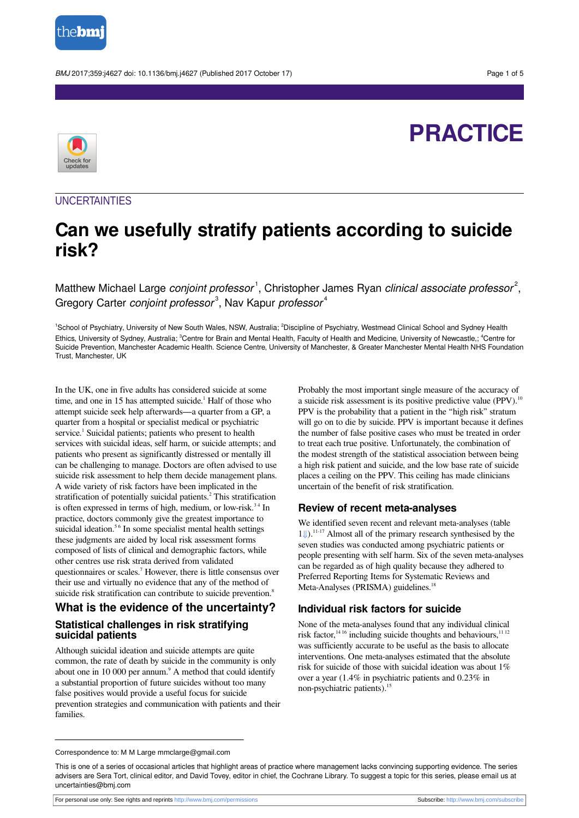

BMJ 2017;359:j4627 doi: 10.1136/bmj.j4627 (Published 2017 October 17) Page 1 of 5

# **PRACTICE**



## **UNCERTAINTIES**

## **Can we usefully stratify patients according to suicide risk?**

Matthew Michael Large *conjoint professor*<sup>1</sup>, Christopher James Ryan *clinical associate professor<sup>2</sup>,* Gregory Carter *conjoint professor*<sup>3</sup>, Nav Kapur *professor*<sup>4</sup>

<sup>1</sup>School of Psychiatry, University of New South Wales, NSW, Australia; <sup>2</sup>Discipline of Psychiatry, Westmead Clinical School and Sydney Health Ethics, University of Sydney, Australia; <sup>3</sup>Centre for Brain and Mental Health, Faculty of Health and Medicine, University of Newcastle,; <sup>4</sup>Centre for Suicide Prevention, Manchester Academic Health. Science Centre, University of Manchester, & Greater Manchester Mental Health NHS Foundation Trust, Manchester, UK

In the UK, one in five adults has considered suicide at some time, and one in 15 has attempted suicide.<sup>1</sup> Half of those who attempt suicide seek help afterwards—a quarter from a GP, a quarter from a hospital or specialist medical or psychiatric service.<sup>1</sup> Suicidal patients; patients who present to health services with suicidal ideas, self harm, or suicide attempts; and patients who present as significantly distressed or mentally ill can be challenging to manage. Doctors are often advised to use suicide risk assessment to help them decide management plans. A wide variety of risk factors have been implicated in the stratification of potentially suicidal patients. 2 This stratification is often expressed in terms of high, medium, or low-risk.<sup>34</sup> In practice, doctors commonly give the greatest importance to suicidal ideation.<sup>56</sup> In some specialist mental health settings these judgments are aided by local risk assessment forms composed of lists of clinical and demographic factors, while other centres use risk strata derived from validated questionnaires or scales. 7 However, there is little consensus over their use and virtually no evidence that any of the method of suicide risk stratification can contribute to suicide prevention.<sup>8</sup>

## **What is the evidence of the uncertainty? Statistical challenges in risk stratifying suicidal patients**

Although suicidal ideation and suicide attempts are quite common, the rate of death by suicide in the community is only about one in 10 000 per annum.<sup>9</sup> A method that could identify a substantial proportion of future suicides without too many false positives would provide a useful focus for suicide prevention strategies and communication with patients and their families.

Probably the most important single measure of the accuracy of a suicide risk assessment is its positive predictive value  $(PPV)$ .<sup>10</sup> PPV is the probability that a patient in the "high risk" stratum will go on to die by suicide. PPV is important because it defines the number of false positive cases who must be treated in order to treat each true positive. Unfortunately, the combination of the modest strength of the statistical association between being a high risk patient and suicide, and the low base rate of suicide places a ceiling on the PPV. This ceiling has made clinicians uncertain of the benefit of risk stratification.

### **Review of recent meta-analyses**

We identified seven recent and relevant meta-analyses (table [1⇓](#page-3-0)).11-17 Almost all of the primary research synthesised by the seven studies was conducted among psychiatric patients or people presenting with self harm. Six of the seven meta-analyses can be regarded as of high quality because they adhered to Preferred Reporting Items for Systematic Reviews and Meta-Analyses (PRISMA) guidelines.<sup>18</sup>

### **Individual risk factors for suicide**

None of the meta-analyses found that any individual clinical risk factor,  $1416$  including suicide thoughts and behaviours,  $1112$ was sufficiently accurate to be useful as the basis to allocate interventions. One meta-analyses estimated that the absolute risk for suicide of those with suicidal ideation was about 1% over a year (1.4% in psychiatric patients and 0.23% in non-psychiatric patients).<sup>15</sup>

Correspondence to: M M Large mmclarge@gmail.com

This is one of a series of occasional articles that highlight areas of practice where management lacks convincing supporting evidence. The series advisers are Sera Tort, clinical editor, and David Tovey, editor in chief, the Cochrane Library. To suggest a topic for this series, please email us at uncertainties@bmj.com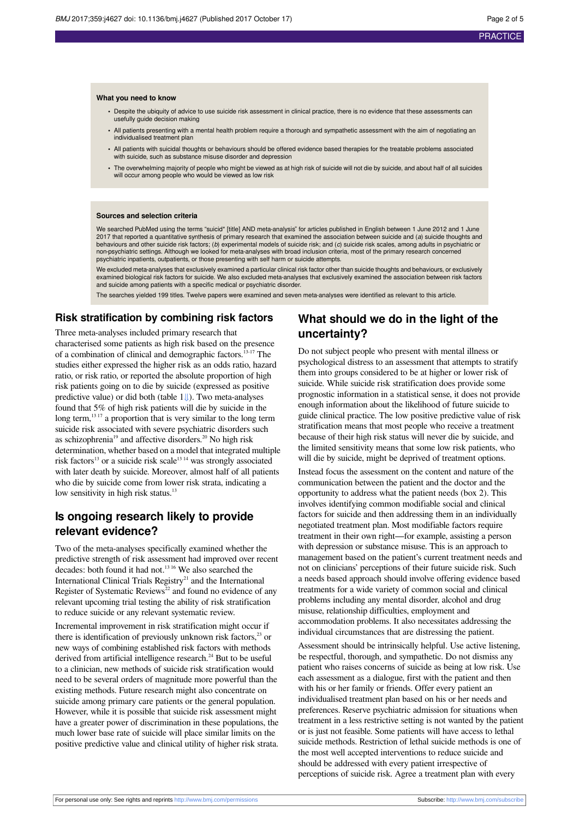#### **What you need to know**

- **•** Despite the ubiquity of advice to use suicide risk assessment in clinical practice, there is no evidence that these assessments can usefully guide decision making
- **•** All patients presenting with a mental health problem require a thorough and sympathetic assessment with the aim of negotiating an individualised treatment plan
- **•** All patients with suicidal thoughts or behaviours should be offered evidence based therapies for the treatable problems associated with suicide, such as substance misuse disorder and depression
- **•** The overwhelming majority of people who might be viewed as at high risk of suicide will not die by suicide, and about half of all suicides will occur among people who would be viewed as low risk

#### **Sources and selection criteria**

We searched PubMed using the terms "suicid\* [title] AND meta-analysis" for articles published in English between 1 June 2012 and 1 June 2017 that reported a quantitative synthesis of primary research that examined the association between suicide and (a) suicide thoughts and behaviours and other suicide risk factors; (b) experimental models of suicide risk; and (c) suicide risk scales, among adults in psychiatric or non-psychiatric settings. Although we looked for meta-analyses with broad inclusion criteria, most of the primary research concerned<br>psychiatric inpatients, outpatients, or those presenting with self harm or suicide attemp

We excluded meta-analyses that exclusively examined a particular clinical risk factor other than suicide thoughts and behaviours, or exclusively examined biological risk factors for suicide. We also excluded meta-analyses that exclusively examined the association between risk factors and suicide among patients with a specific medical or psychiatric disorder.

The searches yielded 199 titles. Twelve papers were examined and seven meta-analyses were identified as relevant to this article.

#### **Risk stratification by combining risk factors**

Three meta-analyses included primary research that characterised some patients as high risk based on the presence of a combination of clinical and demographic factors.<sup>13-17</sup> The studies either expressed the higher risk as an odds ratio, hazard ratio, or risk ratio, or reported the absolute proportion of high risk patients going on to die by suicide (expressed as positive predictive value) or did both (table  $1 \downarrow$ ). Two meta-analyses found that 5% of high risk patients will die by suicide in the long term,<sup>1317</sup> a proportion that is very similar to the long term suicide risk associated with severe psychiatric disorders such as schizophrenia<sup>19</sup> and affective disorders.<sup>20</sup> No high risk determination, whether based on a model that integrated multiple risk factors<sup>13</sup> or a suicide risk scale<sup>13 14</sup> was strongly associated with later death by suicide. Moreover, almost half of all patients who die by suicide come from lower risk strata, indicating a low sensitivity in high risk status.<sup>13</sup>

## **Is ongoing research likely to provide relevant evidence?**

Two of the meta-analyses specifically examined whether the predictive strength of risk assessment had improved over recent decades: both found it had not.13 16 We also searched the International Clinical Trials  $Registry<sup>21</sup>$  and the International Register of Systematic Reviews<sup>22</sup> and found no evidence of any relevant upcoming trial testing the ability of risk stratification to reduce suicide or any relevant systematic review.

Incremental improvement in risk stratification might occur if there is identification of previously unknown risk factors, <sup>23</sup> or new ways of combining established risk factors with methods derived from artificial intelligence research. <sup>24</sup> But to be useful to a clinician, new methods of suicide risk stratification would need to be several orders of magnitude more powerful than the existing methods. Future research might also concentrate on suicide among primary care patients or the general population. However, while it is possible that suicide risk assessment might have a greater power of discrimination in these populations, the much lower base rate of suicide will place similar limits on the positive predictive value and clinical utility of higher risk strata.

## **What should we do in the light of the uncertainty?**

Do not subject people who present with mental illness or psychological distress to an assessment that attempts to stratify them into groups considered to be at higher or lower risk of suicide. While suicide risk stratification does provide some prognostic information in a statistical sense, it does not provide enough information about the likelihood of future suicide to guide clinical practice. The low positive predictive value of risk stratification means that most people who receive a treatment because of their high risk status will never die by suicide, and the limited sensitivity means that some low risk patients, who will die by suicide, might be deprived of treatment options.

Instead focus the assessment on the content and nature of the communication between the patient and the doctor and the opportunity to address what the patient needs (box 2). This involves identifying common modifiable social and clinical factors for suicide and then addressing them in an individually negotiated treatment plan. Most modifiable factors require treatment in their own right—for example, assisting a person with depression or substance misuse. This is an approach to management based on the patient's current treatment needs and not on clinicians' perceptions of their future suicide risk. Such a needs based approach should involve offering evidence based treatments for a wide variety of common social and clinical problems including any mental disorder, alcohol and drug misuse, relationship difficulties, employment and accommodation problems. It also necessitates addressing the individual circumstances that are distressing the patient.

Assessment should be intrinsically helpful. Use active listening, be respectful, thorough, and sympathetic. Do not dismiss any patient who raises concerns of suicide as being at low risk. Use each assessment as a dialogue, first with the patient and then with his or her family or friends. Offer every patient an individualised treatment plan based on his or her needs and preferences. Reserve psychiatric admission for situations when treatment in a less restrictive setting is not wanted by the patient or is just not feasible. Some patients will have access to lethal suicide methods. Restriction of lethal suicide methods is one of the most well accepted interventions to reduce suicide and should be addressed with every patient irrespective of perceptions of suicide risk. Agree a treatment plan with every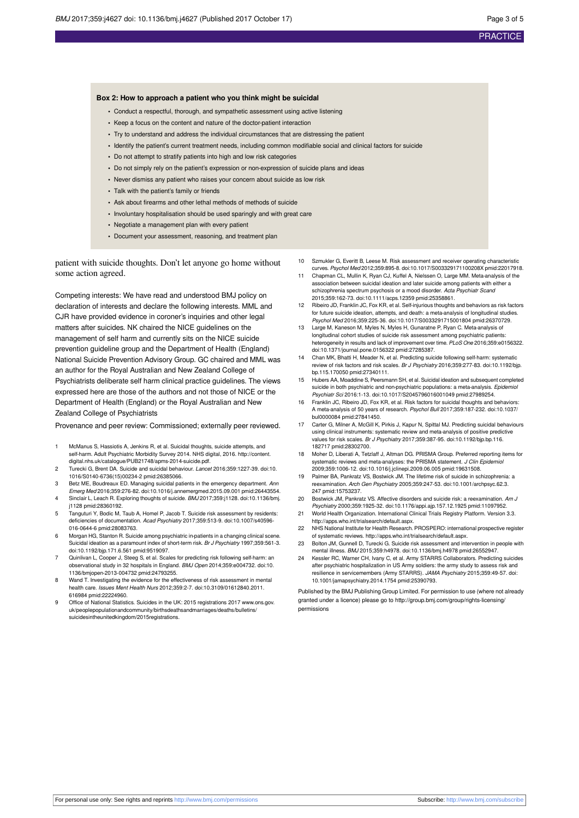#### **Box 2: How to approach a patient who you think might be suicidal**

- **•** Conduct a respectful, thorough, and sympathetic assessment using active listening
- **•** Keep a focus on the content and nature of the doctor-patient interaction
- **•** Try to understand and address the individual circumstances that are distressing the patient
- **•** Identify the patient's current treatment needs, including common modifiable social and clinical factors for suicide
- **•** Do not attempt to stratify patients into high and low risk categories
- **•** Do not simply rely on the patient's expression or non-expression of suicide plans and ideas
- **•** Never dismiss any patient who raises your concern about suicide as low risk
- **•** Talk with the patient's family or friends
- **•** Ask about firearms and other lethal methods of methods of suicide
- **•** Involuntary hospitalisation should be used sparingly and with great care
- **•** Negotiate a management plan with every patient
- **•** Document your assessment, reasoning, and treatment plan

patient with suicide thoughts. Don't let anyone go home without some action agreed.

Competing interests: We have read and understood BMJ policy on declaration of interests and declare the following interests. MML and CJR have provided evidence in coroner's inquiries and other legal matters after suicides. NK chaired the NICE guidelines on the management of self harm and currently sits on the NICE suicide prevention guideline group and the Department of Health (England) National Suicide Prevention Advisory Group. GC chaired and MML was an author for the Royal Australian and New Zealand College of Psychiatrists deliberate self harm clinical practice guidelines. The views expressed here are those of the authors and not those of NICE or the Department of Health (England) or the Royal Australian and New Zealand College of Psychiatrists

Provenance and peer review: Commissioned; externally peer reviewed.

- 1 McManus S, Hassiotis A, Jenkins R, et al. Suicidal thoughts, suicide attempts, and self-harm. Adult Psychiatric Morbidity Survey 2014. NHS digital, 2016. [http://content.](http://content.digital.nhs.uk/catalogue/PUB21748/apms-2014-suicide.pdf) [digital.nhs.uk/catalogue/PUB21748/apms-2014-suicide.pdf](http://content.digital.nhs.uk/catalogue/PUB21748/apms-2014-suicide.pdf).
- 2 Turecki G, Brent DA. Suicide and suicidal behaviour. Lancet 2016;359:1227-39. [doi:10.](http://dx.doi.org/10.1016/S0140-6736(15)00234-2) [1016/S0140-6736\(15\)00234-2](http://dx.doi.org/10.1016/S0140-6736(15)00234-2) [pmid:26385066.](http://www.ncbi.nlm.nih.gov/pubmed/?term=26385066)
- 3 Betz ME, Boudreaux ED. Managing suicidal patients in the emergency department. Ann Emerg Med 2016;359:276-82. [doi:10.1016/j.annemergmed.2015.09.001](http://dx.doi.org/10.1016/j.annemergmed.2015.09.001) [pmid:26443554](http://www.ncbi.nlm.nih.gov/pubmed/?term=26443554).
- 4 Sinclair L, Leach R. Exploring thoughts of suicide. BMJ 2017;359:j1128. [doi:10.1136/bmj.](http://dx.doi.org/10.1136/bmj.j1128) [j1128](http://dx.doi.org/10.1136/bmj.j1128) [pmid:28360192.](http://www.ncbi.nlm.nih.gov/pubmed/?term=28360192)
- 5 Tanguturi Y, Bodic M, Taub A, Homel P, Jacob T. Suicide risk assessment by residents: deficiencies of documentation. Acad Psychiatry 2017;359:513-9. [doi:10.1007/s40596-](http://dx.doi.org/10.1007/s40596-016-0644-6) [016-0644-6](http://dx.doi.org/10.1007/s40596-016-0644-6) [pmid:28083763.](http://www.ncbi.nlm.nih.gov/pubmed/?term=28083763)
- 6 Morgan HG, Stanton R. Suicide among psychiatric in-patients in a changing clinical scene.<br>Suicidal ideation as a paramount index of short-term risk. *Br J Psychiatry* 1997;359:561-3. [doi:10.1192/bjp.171.6.561](http://dx.doi.org/10.1192/bjp.171.6.561) [pmid:9519097.](http://www.ncbi.nlm.nih.gov/pubmed/?term=9519097)
- 7 Quinlivan L, Cooper J, Steeg S, et al. Scales for predicting risk following self-harm: an observational study in 32 hospitals in England. BMJ Open 2014;359:e004732. [doi:10.](http://dx.doi.org/10.1136/bmjopen-2013-004732) [1136/bmjopen-2013-004732](http://dx.doi.org/10.1136/bmjopen-2013-004732) [pmid:24793255](http://www.ncbi.nlm.nih.gov/pubmed/?term=24793255).
- 8 Wand T. Investigating the evidence for the effectiveness of risk assessment in mental health care. Issues Ment Health Nurs 2012;359:2-7. [doi:10.3109/01612840.2011.](http://dx.doi.org/10.3109/01612840.2011.616984) [616984](http://dx.doi.org/10.3109/01612840.2011.616984) [pmid:22224960.](http://www.ncbi.nlm.nih.gov/pubmed/?term=22224960)
- Office of National Statistics. Suicides in the UK: 2015 registrations 2017 [www.ons.gov.](http://www.ons.gov.uk/peoplepopulationandcommunity/birthsdeathsandmarriages/deaths/bulletins/suicidesintheunitedkingdom/2015registrations) [uk/peoplepopulationandcommunity/birthsdeathsandmarriages/deaths/bulletins/](http://www.ons.gov.uk/peoplepopulationandcommunity/birthsdeathsandmarriages/deaths/bulletins/suicidesintheunitedkingdom/2015registrations) [suicidesintheunitedkingdom/2015registrations](http://www.ons.gov.uk/peoplepopulationandcommunity/birthsdeathsandmarriages/deaths/bulletins/suicidesintheunitedkingdom/2015registrations).
- 10 Szmukler G, Everitt B, Leese M. Risk assessment and receiver operating characteristic curves. Psychol Med 2012;359:895-8. [doi:10.1017/S003329171100208X](http://dx.doi.org/10.1017/S003329171100208X) [pmid:22017918](http://www.ncbi.nlm.nih.gov/pubmed/?term=22017918).
- 11 Chapman CL, Mullin K, Ryan CJ, Kuffel A, Nielssen O, Large MM. Meta-analysis of the association between suicidal ideation and later suicide among patients with either a schizophrenia spectrum psychosis or a mood disorder. Acta Psychiatr Scand 2015;359:162-73. [doi:10.1111/acps.12359](http://dx.doi.org/10.1111/acps.12359) [pmid:25358861](http://www.ncbi.nlm.nih.gov/pubmed/?term=25358861).
- 12 Ribeiro JD, Franklin JC, Fox KR, et al. Self-injurious thoughts and behaviors as risk factors for future suicide ideation, attempts, and death: a meta-analysis of longitudinal studies. Psychol Med 2016;359:225-36. [doi:10.1017/S0033291715001804](http://dx.doi.org/10.1017/S0033291715001804) [pmid:26370729.](http://www.ncbi.nlm.nih.gov/pubmed/?term=26370729)
- 13 Large M, Kaneson M, Myles N, Myles H, Gunaratne P, Ryan C. Meta-analysis of Lange in, names in, ny ses in, ny ses in, samarane i program en mera analysis en heterogeneity in results and lack of improvement over time. PLoS One 2016;359:e0156322. [doi:10.1371/journal.pone.0156322](http://dx.doi.org/10.1371/journal.pone.0156322) [pmid:27285387.](http://www.ncbi.nlm.nih.gov/pubmed/?term=27285387)
- 14 Chan MK, Bhatti H, Meader N, et al. Predicting suicide following self-harm: systematic review of risk factors and risk scales. Br J Psychiatry 2016;359:277-83. [doi:10.1192/bjp.](http://dx.doi.org/10.1192/bjp.bp.115.170050) [bp.115.170050](http://dx.doi.org/10.1192/bjp.bp.115.170050) [pmid:27340111](http://www.ncbi.nlm.nih.gov/pubmed/?term=27340111).
- 15 Hubers AA, Moaddine S, Peersmann SH, et al. Suicidal ideation and subsequent completed suicide in both psychiatric and non-psychiatric populations: a meta-analysis. Epidemiol Psychiatr Sci 2016:1-13. [doi:10.1017/S2045796016001049](http://dx.doi.org/10.1017/S2045796016001049) [pmid:27989254.](http://www.ncbi.nlm.nih.gov/pubmed/?term=27989254)
- 16 Franklin JC, Ribeiro JD, Fox KR, et al. Risk factors for suicidal thoughts and behaviors: A meta-analysis of 50 years of research. Psychol Bull 2017;359:187-232. [doi:10.1037/](http://dx.doi.org/10.1037/bul0000084) [bul0000084](http://dx.doi.org/10.1037/bul0000084) [pmid:27841450](http://www.ncbi.nlm.nih.gov/pubmed/?term=27841450).
- 17 Carter G, Milner A, McGill K, Pirkis J, Kapur N, Spittal MJ. Predicting suicidal behaviours using clinical instruments: systematic review and meta-analysis of positive predictive values for risk scales. Br J Psychiatry 2017;359:387-95. [doi:10.1192/bjp.bp.116.](http://dx.doi.org/10.1192/bjp.bp.116.182717) [182717](http://dx.doi.org/10.1192/bjp.bp.116.182717) [pmid:28302700.](http://www.ncbi.nlm.nih.gov/pubmed/?term=28302700)
- 18 Moher D, Liberati A, Tetzlaff J, Altman DG. PRISMA Group. Preferred reporting items for systematic reviews and meta-analyses: the PRISMA statement. J Clin Epidemiol 2009;359:1006-12. [doi:10.1016/j.jclinepi.2009.06.005](http://dx.doi.org/10.1016/j.jclinepi.2009.06.005) [pmid:19631508.](http://www.ncbi.nlm.nih.gov/pubmed/?term=19631508)
- 19 Palmer BA, Pankratz VS, Bostwick JM. The lifetime risk of suicide in schizophrenia: a reexamination. Arch Gen Psychiatry 2005;359:247-53. [doi:10.1001/archpsyc.62.3.](http://dx.doi.org/10.1001/archpsyc.62.3.247) [247](http://dx.doi.org/10.1001/archpsyc.62.3.247) [pmid:15753237](http://www.ncbi.nlm.nih.gov/pubmed/?term=15753237).
- 20 Bostwick JM, Pankratz VS. Affective disorders and suicide risk: a reexamination. Am J Psychiatry 2000;359:1925-32. [doi:10.1176/appi.ajp.157.12.1925](http://dx.doi.org/10.1176/appi.ajp.157.12.1925) [pmid:11097952](http://www.ncbi.nlm.nih.gov/pubmed/?term=11097952).
- 21 World Health Organization. International Clinical Trials Registry Platform. Version 3.3. [http://apps.who.int/trialsearch/default.aspx.](http://apps.who.int/trialsearch/default.aspx)
- 22 NHS National Institute for Health Research. PROSPERO: international prospective register of systematic reviews. [http://apps.who.int/trialsearch/default.aspx.](http://apps.who.int/trialsearch/default.aspx)
- 23 Bolton JM, Gunnell D, Turecki G. Suicide risk assessment and intervention in people with mental illness. BMJ 2015;359:h4978. [doi:10.1136/bmj.h4978](http://dx.doi.org/10.1136/bmj.h4978) [pmid:26552947](http://www.ncbi.nlm.nih.gov/pubmed/?term=26552947).
- 24 Kessler RC, Warner CH, Ivany C, et al. Army STARRS Collaborators. Predicting suicides after psychiatric hospitalization in US Army soldiers: the army study to assess risk and resilience in servicemembers (Army STARRS). JAMA Psychiatry 2015;359:49-57. [doi:](http://dx.doi.org/10.1001/jamapsychiatry.2014.1754) [10.1001/jamapsychiatry.2014.1754](http://dx.doi.org/10.1001/jamapsychiatry.2014.1754) [pmid:25390793.](http://www.ncbi.nlm.nih.gov/pubmed/?term=25390793)

Published by the BMJ Publishing Group Limited. For permission to use (where not already granted under a licence) please go to [http://group.bmj.com/group/rights-licensing/](http://group.bmj.com/group/rights-licensing/permissions) [permissions](http://group.bmj.com/group/rights-licensing/permissions)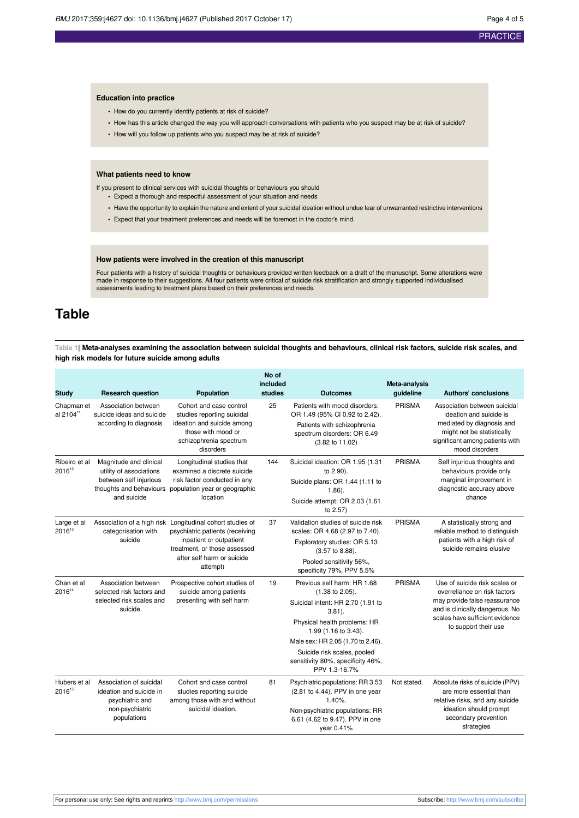#### **Education into practice**

- **•** How do you currently identify patients at risk of suicide?
- **•** How has this article changed the way you will approach conversations with patients who you suspect may be at risk of suicide?
- **•** How will you follow up patients who you suspect may be at risk of suicide?

#### **What patients need to know**

If you present to clinical services with suicidal thoughts or behaviours you should

- **•** Expect a thorough and respectful assessment of your situation and needs
- **•** Have the opportunity to explain the nature and extent of your suicidal ideation without undue fear of unwarranted restrictive interventions
- **•** Expect that your treatment preferences and needs will be foremost in the doctor's mind.

#### **How patients were involved in the creation of this manuscript**

Four patients with a history of suicidal thoughts or behaviours provided written feedback on a draft of the manuscript. Some alterations were made in response to their suggestions. All four patients were critical of suicide risk stratification and strongly supported individualised assessments leading to treatment plans based on their preferences and needs.

## <span id="page-3-0"></span>**Table**

**Table 1| Meta-analyses examining the association between suicidal thoughts and behaviours, clinical risk factors, suicide risk scales, and high risk models for future suicide among adults**

| <b>Study</b>                        | <b>Research question</b>                                                                                              | Population                                                                                                                                                                                        | No of<br>included<br>studies | <b>Outcomes</b>                                                                                                                                                                                                                                                                                | Meta-analysis<br>quideline | <b>Authors' conclusions</b>                                                                                                                                                                  |
|-------------------------------------|-----------------------------------------------------------------------------------------------------------------------|---------------------------------------------------------------------------------------------------------------------------------------------------------------------------------------------------|------------------------------|------------------------------------------------------------------------------------------------------------------------------------------------------------------------------------------------------------------------------------------------------------------------------------------------|----------------------------|----------------------------------------------------------------------------------------------------------------------------------------------------------------------------------------------|
| Chapman et<br>al 2104 <sup>11</sup> | Association between<br>suicide ideas and suicide<br>according to diagnosis                                            | Cohort and case control<br>studies reporting suicidal<br>ideation and suicide among<br>those with mood or<br>schizophrenia spectrum<br>disorders                                                  | 25                           | Patients with mood disorders:<br>OR 1.49 (95% CI 0.92 to 2.42).<br>Patients with schizophrenia<br>spectrum disorders: OR 6.49<br>(3.82 to 11.02)                                                                                                                                               | <b>PRISMA</b>              | Association between suicidal<br>ideation and suicide is<br>mediated by diagnosis and<br>might not be statistically<br>significant among patients with<br>mood disorders                      |
| Ribeiro et al<br>$2016^{12}$        | Magnitude and clinical<br>utility of associations<br>between self injurious<br>thoughts and behaviours<br>and suicide | Longitudinal studies that<br>examined a discrete suicide<br>risk factor conducted in any<br>population year or geographic<br>location                                                             | 144                          | Suicidal ideation: OR 1.95 (1.31<br>to 2.90).<br>Suicide plans: OR 1.44 (1.11 to<br>$1.86$ ).<br>Suicide attempt: OR 2.03 (1.61<br>to 2.57)                                                                                                                                                    | <b>PRISMA</b>              | Self injurious thoughts and<br>behaviours provide only<br>marginal improvement in<br>diagnostic accuracy above<br>chance                                                                     |
| Large et al<br>$2016^{13}$          | categorisation with<br>suicide                                                                                        | Association of a high risk Longitudinal cohort studies of<br>psychiatric patients (receiving<br>inpatient or outpatient<br>treatment, or those assessed<br>after self harm or suicide<br>attempt) | 37                           | Validation studies of suicide risk<br>scales: OR 4.68 (2.97 to 7.40).<br>Exploratory studies: OR 5.13<br>(3.57 to 8.88).<br>Pooled sensitivity 56%,<br>specificity 79%, PPV 5.5%                                                                                                               | PRISMA                     | A statistically strong and<br>reliable method to distinguish<br>patients with a high risk of<br>suicide remains elusive                                                                      |
| Chan et al<br>201614                | Association between<br>selected risk factors and<br>selected risk scales and<br>suicide                               | Prospective cohort studies of<br>suicide among patients<br>presenting with self harm                                                                                                              | 19                           | Previous self harm: HR 1.68<br>$(1.38 \text{ to } 2.05)$ .<br>Suicidal intent: HR 2.70 (1.91 to<br>$3.81$ ).<br>Physical health problems: HR<br>1.99 (1.16 to 3.43).<br>Male sex: HR 2.05 (1.70 to 2.46).<br>Suicide risk scales, pooled<br>sensitivity 80%, specificity 46%,<br>PPV 1.3-16.7% | PRISMA                     | Use of suicide risk scales or<br>overreliance on risk factors<br>may provide false reassurance<br>and is clinically dangerous. No<br>scales have sufficient evidence<br>to support their use |
| Hubers et al<br>201615              | Association of suicidal<br>ideation and suicide in<br>psychiatric and<br>non-psychiatric<br>populations               | Cohort and case control<br>studies reporting suicide<br>among those with and without<br>suicidal ideation.                                                                                        | 81                           | Psychiatric populations: RR 3.53<br>(2.81 to 4.44). PPV in one year<br>1.40%.<br>Non-psychiatric populations: RR<br>6.61 (4.62 to 9.47). PPV in one<br>year 0.41%                                                                                                                              | Not stated.                | Absolute risks of suicide (PPV)<br>are more essential than<br>relative risks, and any suicide<br>ideation should prompt<br>secondary prevention<br>strategies                                |